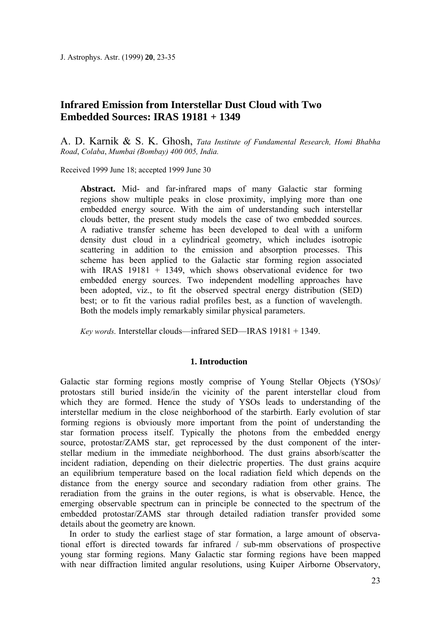J. Astrophys. Astr. (1999) **20**, 23-35

# **Infrared Emission from Interstellar Dust Cloud with Two Embedded Sources: IRAS 19181 + 1349**

A. D. Karnik & S. K. Ghosh, *Tata Institute of Fundamental Research, Homi Bhabha Road*, *Colaba*, *Mumbai (Bombay) 400 005, India.*

Received 1999 June 18; accepted 1999 June 30

**Abstract.** Mid- and far-infrared maps of many Galactic star forming regions show multiple peaks in close proximity, implying more than one embedded energy source. With the aim of understanding such interstellar clouds better, the present study models the case of two embedded sources. A radiative transfer scheme has been developed to deal with a uniform density dust cloud in a cylindrical geometry, which includes isotropic scattering in addition to the emission and absorption processes. This scheme has been applied to the Galactic star forming region associated with IRAS 19181 + 1349, which shows observational evidence for two embedded energy sources. Two independent modelling approaches have been adopted, viz., to fit the observed spectral energy distribution (SED) best; or to fit the various radial profiles best, as a function of wavelength. Both the models imply remarkably similar physical parameters.

*Key words.* Interstellar clouds—infrared SED—IRAS 19181 + 1349.

# **1. Introduction**

Galactic star forming regions mostly comprise of Young Stellar Objects (YSOs)/ protostars still buried inside/in the vicinity of the parent interstellar cloud from which they are formed. Hence the study of YSOs leads to understanding of the interstellar medium in the close neighborhood of the starbirth. Early evolution of star forming regions is obviously more important from the point of understanding the star formation process itself. Typically the photons from the embedded energy source, protostar/ZAMS star, get reprocessed by the dust component of the interstellar medium in the immediate neighborhood. The dust grains absorb/scatter the incident radiation, depending on their dielectric properties. The dust grains acquire an equilibrium temperature based on the local radiation field which depends on the distance from the energy source and secondary radiation from other grains. The reradiation from the grains in the outer regions, is what is observable. Hence, the emerging observable spectrum can in principle be connected to the spectrum of the embedded protostar/ZAMS star through detailed radiation transfer provided some details about the geometry are known.

In order to study the earliest stage of star formation, a large amount of observational effort is directed towards far infrared / sub-mm observations of prospective young star forming regions. Many Galactic star forming regions have been mapped with near diffraction limited angular resolutions, using Kuiper Airborne Observatory,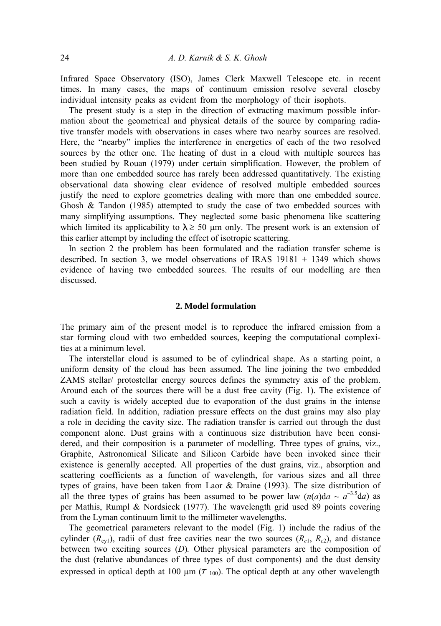Infrared Space Observatory (ISO), James Clerk Maxwell Telescope etc. in recent times. In many cases, the maps of continuum emission resolve several closeby individual intensity peaks as evident from the morphology of their isophots.

The present study is a step in the direction of extracting maximum possible information about the geometrical and physical details of the source by comparing radiative transfer models with observations in cases where two nearby sources are resolved. Here, the "nearby" implies the interference in energetics of each of the two resolved sources by the other one. The heating of dust in a cloud with multiple sources has been studied by Rouan (1979) under certain simplification. However, the problem of more than one embedded source has rarely been addressed quantitatively. The existing observational data showing clear evidence of resolved multiple embedded sources justify the need to explore geometries dealing with more than one embedded source. Ghosh & Tandon (1985) attempted to study the case of two embedded sources with many simplifying assumptions. They neglected some basic phenomena like scattering which limited its applicability to  $\lambda \geq 50$  µm only. The present work is an extension of this earlier attempt by including the effect of isotropic scattering.

In section 2 the problem has been formulated and the radiation transfer scheme is described. In section 3, we model observations of IRAS 19181 + 1349 which shows evidence of having two embedded sources. The results of our modelling are then discussed.

## **2. Model formulation**

The primary aim of the present model is to reproduce the infrared emission from a star forming cloud with two embedded sources, keeping the computational complexities at a minimum level.

The interstellar cloud is assumed to be of cylindrical shape. As a starting point, a uniform density of the cloud has been assumed. The line joining the two embedded ZAMS stellar/ protostellar energy sources defines the symmetry axis of the problem. Around each of the sources there will be a dust free cavity (Fig. 1). The existence of such a cavity is widely accepted due to evaporation of the dust grains in the intense radiation field. In addition, radiation pressure effects on the dust grains may also play a role in deciding the cavity size. The radiation transfer is carried out through the dust component alone. Dust grains with a continuous size distribution have been considered, and their composition is a parameter of modelling. Three types of grains, viz., Graphite, Astronomical Silicate and Silicon Carbide have been invoked since their existence is generally accepted. All properties of the dust grains, viz., absorption and scattering coefficients as a function of wavelength, for various sizes and all three types of grains, have been taken from Laor & Draine (1993). The size distribution of all the three types of grains has been assumed to be power law  $(n(a))da \sim a^{-3.5}da$  as per Mathis, Rumpl & Nordsieck (1977). The wavelength grid used 89 points covering from the Lyman continuum limit to the millimeter wavelengths.

The geometrical parameters relevant to the model (Fig. 1) include the radius of the cylinder  $(R_{\text{cv1}})$ , radii of dust free cavities near the two sources  $(R_{c1}, R_{c2})$ , and distance between two exciting sources (*D*)*.* Other physical parameters are the composition of the dust (relative abundances of three types of dust components) and the dust density expressed in optical depth at 100  $\mu$ m ( $\tau$  100). The optical depth at any other wavelength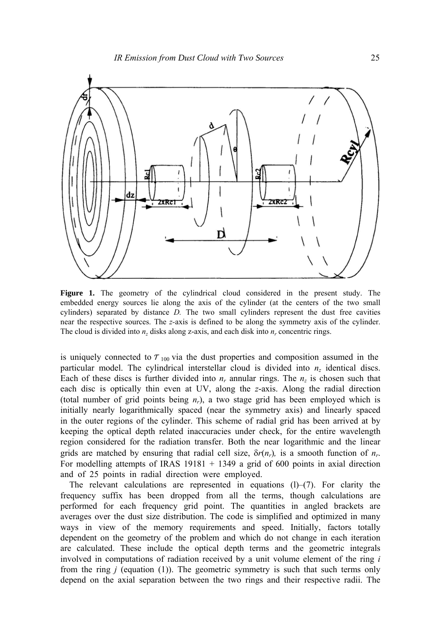

**Figure 1.** The geometry of the cylindrical cloud considered in the present study. The embedded energy sources lie along the axis of the cylinder (at the centers of the two small cylinders) separated by distance *D.* The two small cylinders represent the dust free cavities near the respective sources. The *z-*axis is defined to be along the symmetry axis of the cylinder. The cloud is divided into *n<sub>z</sub>* disks along z-axis, and each disk into *n<sub>r</sub>* concentric rings.

is uniquely connected to  $\tau_{100}$  via the dust properties and composition assumed in the particular model. The cylindrical interstellar cloud is divided into  $n<sub>z</sub>$  identical discs. Each of these discs is further divided into *nr* annular rings. The *nz* is chosen such that each disc is optically thin even at UV, along the *z*-axis. Along the radial direction (total number of grid points being  $n_r$ ), a two stage grid has been employed which is initially nearly logarithmically spaced (near the symmetry axis) and linearly spaced in the outer regions of the cylinder. This scheme of radial grid has been arrived at by keeping the optical depth related inaccuracies under check, for the entire wavelength region considered for the radiation transfer. Both the near logarithmic and the linear grids are matched by ensuring that radial cell size,  $\delta r(n_r)$ , is a smooth function of  $n_r$ . For modelling attempts of IRAS  $19181 + 1349$  a grid of 600 points in axial direction and of 25 points in radial direction were employed.

The relevant calculations are represented in equations  $(1)$ – $(7)$ . For clarity the frequency suffix has been dropped from all the terms, though calculations are performed for each frequency grid point. The quantities in angled brackets are averages over the dust size distribution. The code is simplified and optimized in many ways in view of the memory requirements and speed. Initially, factors totally dependent on the geometry of the problem and which do not change in each iteration are calculated. These include the optical depth terms and the geometric integrals involved in computations of radiation received by a unit volume element of the ring *i*  from the ring *j* (equation (1)). The geometric symmetry is such that such terms only depend on the axial separation between the two rings and their respective radii. The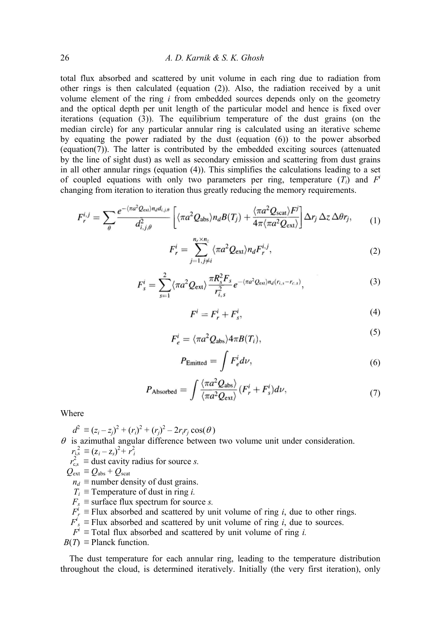total flux absorbed and scattered by unit volume in each ring due to radiation from other rings is then calculated (equation (2)). Also, the radiation received by a unit volume element of the ring *i* from embedded sources depends only on the geometry and the optical depth per unit length of the particular model and hence is fixed over iterations (equation (3)). The equilibrium temperature of the dust grains (on the median circle) for any particular annular ring is calculated using an iterative scheme by equating the power radiated by the dust (equation (6)) to the power absorbed (equation(7)). The latter is contributed by the embedded exciting sources (attenuated by the line of sight dust) as well as secondary emission and scattering from dust grains in all other annular rings (equation (4)). This simplifies the calculations leading to a set of coupled equations with only two parameters per ring, temperature  $(T_i)$  and  $F<sup>i</sup>$ changing from iteration to iteration thus greatly reducing the memory requirements.

$$
F_r^{i,j} = \sum_{\theta} \frac{e^{-\langle \pi a^2 Q_{\text{ext}} \rangle n_d d_{i,j,\theta}}}{d_{i,j,\theta}^2} \left[ \langle \pi a^2 Q_{\text{abs}} \rangle n_d B(T_j) + \frac{\langle \pi a^2 Q_{\text{scat}} \rangle F^j}{4 \pi \langle \pi a^2 Q_{\text{ext}} \rangle} \right] \Delta r_j \, \Delta z \, \Delta \theta r_j, \tag{1}
$$

$$
F_r^i = \sum_{j=1, j\neq i}^{n_r \times n_z} \langle \pi a^2 Q_{\text{ext}} \rangle n_d F_r^{i,j}, \qquad (2)
$$

$$
F_s^i = \sum_{s=1}^2 \langle \pi a^2 Q_{\text{ext}} \rangle \frac{\pi R_s^2 F_s}{r_{i,s}^2} e^{-\langle \pi a^2 Q_{\text{ext}} \rangle n_d \langle r_{i,s} - r_{c,s} \rangle}, \tag{3}
$$

$$
F^i = F^i_r + F^i_s,\tag{4}
$$

 $\sim$ 

$$
F_e^i = \langle \pi a^2 Q_{\rm abs} \rangle 4\pi B(T_i), \tag{5}
$$

$$
P_{\text{Emitted}} = \int F_e^i d\nu,\tag{6}
$$

$$
P_{\text{Absorbed}} = \int \frac{\langle \pi a^2 Q_{\text{abs}} \rangle}{\langle \pi a^2 Q_{\text{ext}} \rangle} (F_r^i + F_s^i) d\nu, \tag{7}
$$

Where

 $d^2 \equiv (z_i - z_j)^2 + (r_i)^2 + (r_j)^2 - 2r_i r_j \cos(\theta)$  $\theta$  is azimuthal angular difference between two volume unit under consideration.  $r_{i,s}^2 \equiv (z_i - z_s)^2 + r_i^2$ 

 $r_{\rm c,s}^2 \equiv$  dust cavity radius for source *s*.

$$
Q_{\rm ext} \equiv Q_{\rm abs} + Q_{\rm scat}
$$

- $n_d$  ≡ number density of dust grains.
- $T_i$  ≡ Temperature of dust in ring *i*.
- $F_s \equiv$  surface flux spectrum for source *s*.
- $F_r^i$  ≡ Flux absorbed and scattered by unit volume of ring *i*, due to other rings.
- $F_s^i$  ≡ Flux absorbed and scattered by unit volume of ring *i*, due to sources.
	- $F^i$  ≡ Total flux absorbed and scattered by unit volume of ring *i*.
- $B(T) \equiv$  Planck function.

The dust temperature for each annular ring, leading to the temperature distribution throughout the cloud, is determined iteratively. Initially (the very first iteration), only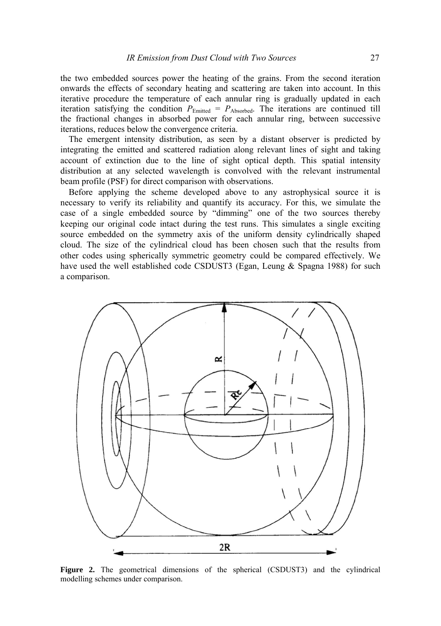the two embedded sources power the heating of the grains. From the second iteration onwards the effects of secondary heating and scattering are taken into account. In this iterative procedure the temperature of each annular ring is gradually updated in each iteration satisfying the condition  $P_{Emitted} = P_{Absorbed}$ . The iterations are continued till the fractional changes in absorbed power for each annular ring, between successive iterations, reduces below the convergence criteria.

The emergent intensity distribution, as seen by a distant observer is predicted by integrating the emitted and scattered radiation along relevant lines of sight and taking account of extinction due to the line of sight optical depth. This spatial intensity distribution at any selected wavelength is convolved with the relevant instrumental beam profile (PSF) for direct comparison with observations.

Before applying the scheme developed above to any astrophysical source it is necessary to verify its reliability and quantify its accuracy. For this, we simulate the case of a single embedded source by "dimming" one of the two sources thereby keeping our original code intact during the test runs. This simulates a single exciting source embedded on the symmetry axis of the uniform density cylindrically shaped cloud. The size of the cylindrical cloud has been chosen such that the results from other codes using spherically symmetric geometry could be compared effectively. We have used the well established code CSDUST3 (Egan, Leung & Spagna 1988) for such a comparison.



**Figure 2.** The geometrical dimensions of the spherical (CSDUST3) and the cylindrical modelling schemes under comparison.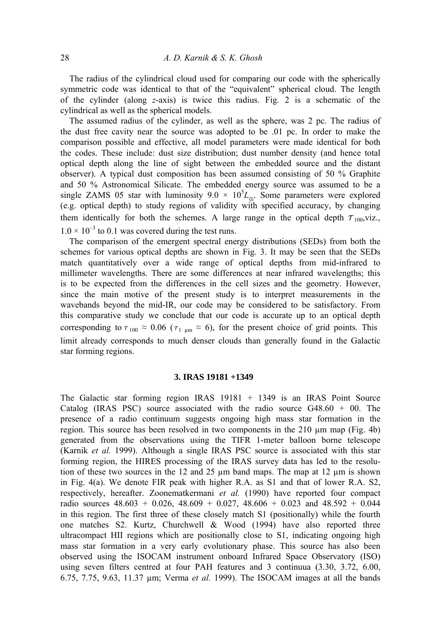The radius of the cylindrical cloud used for comparing our code with the spherically symmetric code was identical to that of the "equivalent" spherical cloud. The length of the cylinder (along *z*-axis) is twice this radius. Fig. 2 is a schematic of the cylindrical as well as the spherical models.

The assumed radius of the cylinder, as well as the sphere, was 2 pc. The radius of the dust free cavity near the source was adopted to be .01 pc. In order to make the comparison possible and effective, all model parameters were made identical for both the codes. These include: dust size distribution; dust number density (and hence total optical depth along the line of sight between the embedded source and the distant observer). A typical dust composition has been assumed consisting of 50 % Graphite and 50 % Astronomical Silicate. The embedded energy source was assumed to be a single ZAMS 05 star with luminosity  $9.0 \times 10^{5}L_{\odot}$ . Some parameters were explored (e.g. optical depth) to study regions of validity with specified accuracy, by changing them identically for both the schemes. A large range in the optical depth  $\tau_{100}$ , viz.,  $1.0 \times 10^{-3}$  to 0.1 was covered during the test runs.

The comparison of the emergent spectral energy distributions (SEDs) from both the schemes for various optical depths are shown in Fig. 3. It may be seen that the SEDs match quantitatively over a wide range of optical depths from mid-infrared to millimeter wavelengths. There are some differences at near infrared wavelengths; this is to be expected from the differences in the cell sizes and the geometry. However, since the main motive of the present study is to interpret measurements in the wavebands beyond the mid-IR, our code may be considered to be satisfactory. From this comparative study we conclude that our code is accurate up to an optical depth corresponding to  $\tau_{100} \approx 0.06$  ( $\tau_{1 \mu m} \approx 6$ ), for the present choice of grid points. This limit already corresponds to much denser clouds than generally found in the Galactic star forming regions.

## **3. IRAS 19181 +1349**

The Galactic star forming region IRAS 19181 + 1349 is an IRAS Point Source Catalog (IRAS PSC) source associated with the radio source  $G48.60 + 00$ . The presence of a radio continuum suggests ongoing high mass star formation in the region. This source has been resolved in two components in the  $210 \mu m$  map (Fig. 4b) generated from the observations using the TIFR 1-meter balloon borne telescope (Karnik *et al.* 1999). Although a single IRAS PSC source is associated with this star forming region, the HIRES processing of the IRAS survey data has led to the resolution of these two sources in the 12 and 25  $\mu$ m band maps. The map at 12  $\mu$ m is shown in Fig. 4(a). We denote FIR peak with higher R.A. as S1 and that of lower R.A. S2, respectively, hereafter. Zoonematkermani *et al.* (1990) have reported four compact radio sources  $48.603 + 0.026$ ,  $48.609 + 0.027$ ,  $48.606 + 0.023$  and  $48.592 + 0.044$ in this region. The first three of these closely match S1 (positionally) while the fourth one matches S2. Kurtz, Churchwell & Wood (1994) have also reported three ultracompact HII regions which are positionally close to S1, indicating ongoing high mass star formation in a very early evolutionary phase. This source has also been observed using the ISOCAM instrument onboard Infrared Space Observatory (ISO) using seven filters centred at four PAH features and 3 continuua (3.30, 3.72, 6.00, 6.75, 7.75, 9.63, 11.37 µm; Verma *et al.* 1999). The ISOCAM images at all the bands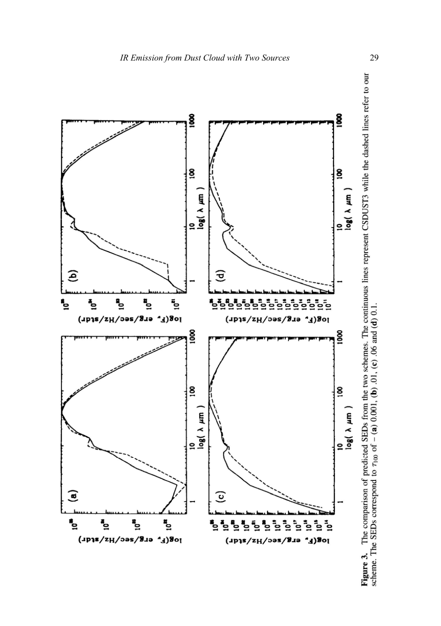

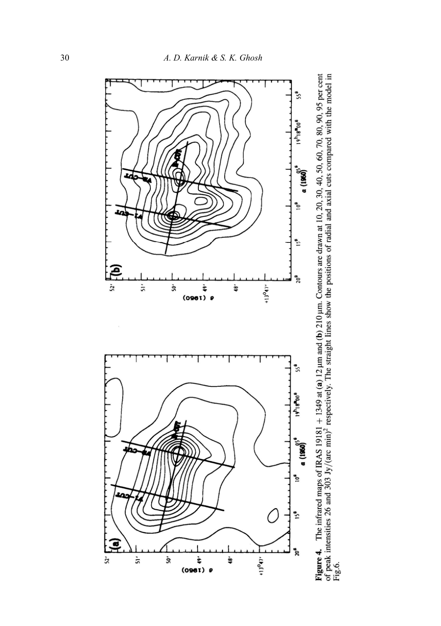

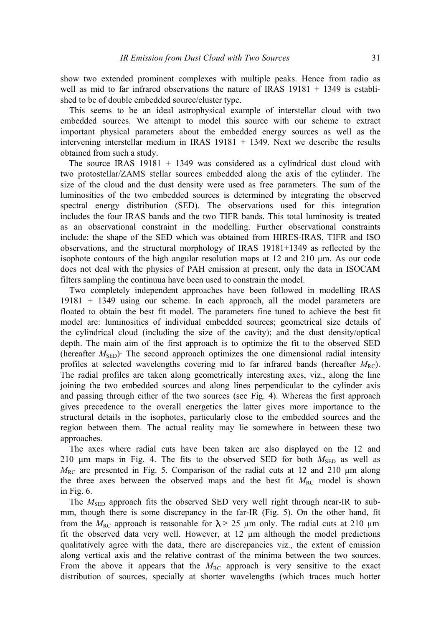show two extended prominent complexes with multiple peaks. Hence from radio as well as mid to far infrared observations the nature of IRAS 19181 + 1349 is established to be of double embedded source/cluster type.

This seems to be an ideal astrophysical example of interstellar cloud with two embedded sources. We attempt to model this source with our scheme to extract important physical parameters about the embedded energy sources as well as the intervening interstellar medium in IRAS  $19181 + 1349$ . Next we describe the results obtained from such a study.

The source IRAS 19181 + 1349 was considered as a cylindrical dust cloud with two protostellar/ZAMS stellar sources embedded along the axis of the cylinder. The size of the cloud and the dust density were used as free parameters. The sum of the luminosities of the two embedded sources is determined by integrating the observed spectral energy distribution (SED). The observations used for this integration includes the four IRAS bands and the two TIFR bands. This total luminosity is treated as an observational constraint in the modelling. Further observational constraints include: the shape of the SED which was obtained from HIRES-IRAS, TIFR and ISO observations, and the structural morphology of IRAS 19181+1349 as reflected by the isophote contours of the high angular resolution maps at 12 and 210 µm. As our code does not deal with the physics of PAH emission at present, only the data in ISOCAM filters sampling the continuua have been used to constrain the model.

Two completely independent approaches have been followed in modelling IRAS 19181 + 1349 using our scheme. In each approach, all the model parameters are floated to obtain the best fit model. The parameters fine tuned to achieve the best fit model are: luminosities of individual embedded sources; geometrical size details of the cylindrical cloud (including the size of the cavity); and the dust density/optical depth. The main aim of the first approach is to optimize the fit to the observed SED (hereafter  $M<sub>SED</sub>$ )<sup>.</sup> The second approach optimizes the one dimensional radial intensity profiles at selected wavelengths covering mid to far infrared bands (hereafter  $M_{\text{RC}}$ ). The radial profiles are taken along geometrically interesting axes, viz., along the line joining the two embedded sources and along lines perpendicular to the cylinder axis and passing through either of the two sources (see Fig. 4). Whereas the first approach gives precedence to the overall energetics the latter gives more importance to the structural details in the isophotes, particularly close to the embedded sources and the region between them. The actual reality may lie somewhere in between these two approaches.

The axes where radial cuts have been taken are also displayed on the 12 and 210  $\mu$ m maps in Fig. 4. The fits to the observed SED for both  $M_{\text{SED}}$  as well as  $M_{\text{RC}}$  are presented in Fig. 5. Comparison of the radial cuts at 12 and 210  $\mu$ m along the three axes between the observed maps and the best fit  $M_{\text{RC}}$  model is shown in Fig. 6.

The  $M<sub>SED</sub>$  approach fits the observed SED very well right through near-IR to submm, though there is some discrepancy in the far-IR (Fig. 5). On the other hand, fit from the  $M_{\text{RC}}$  approach is reasonable for  $\lambda \geq 25$  µm only. The radial cuts at 210 µm fit the observed data very well. However, at 12 µm although the model predictions qualitatively agree with the data, there are discrepancies viz., the extent of emission along vertical axis and the relative contrast of the minima between the two sources. From the above it appears that the  $M_{\text{RC}}$  approach is very sensitive to the exact distribution of sources, specially at shorter wavelengths (which traces much hotter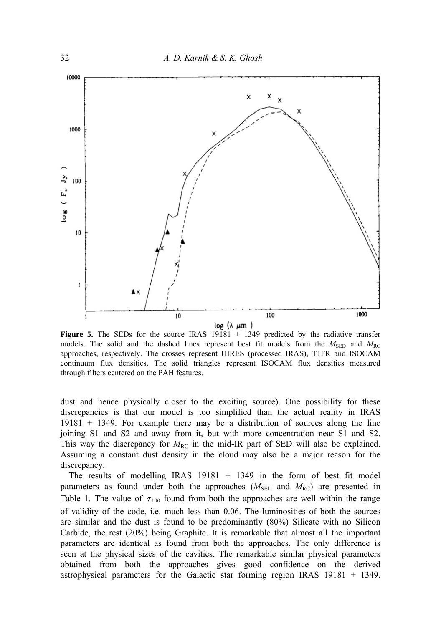

**Figure 5.** The SEDs for the source IRAS 19181 + 1349 predicted by the radiative transfer models. The solid and the dashed lines represent best fit models from the  $M_{\text{SFD}}$  and  $M_{\text{RC}}$ approaches, respectively. The crosses represent HIRES (processed IRAS), T1FR and ISOCAM continuum flux densities. The solid triangles represent ISOCAM flux densities measured through filters centered on the PAH features.

dust and hence physically closer to the exciting source). One possibility for these discrepancies is that our model is too simplified than the actual reality in IRAS 19181 + 1349. For example there may be a distribution of sources along the line joining S1 and S2 and away from it, but with more concentration near S1 and S2. This way the discrepancy for  $M_{\text{RC}}$  in the mid-IR part of SED will also be explained. Assuming a constant dust density in the cloud may also be a major reason for the discrepancy.

The results of modelling IRAS 19181 + 1349 in the form of best fit model parameters as found under both the approaches  $(M_{\rm{SED}}$  and  $M_{\rm{RC}})$  are presented in Table 1. The value of  $\tau_{100}$  found from both the approaches are well within the range of validity of the code, i.e. much less than 0.06. The luminosities of both the sources are similar and the dust is found to be predominantly (80%) Silicate with no Silicon Carbide, the rest (20%) being Graphite. It is remarkable that almost all the important parameters are identical as found from both the approaches. The only difference is seen at the physical sizes of the cavities. The remarkable similar physical parameters obtained from both the approaches gives good confidence on the derived astrophysical parameters for the Galactic star forming region IRAS 19181 + 1349.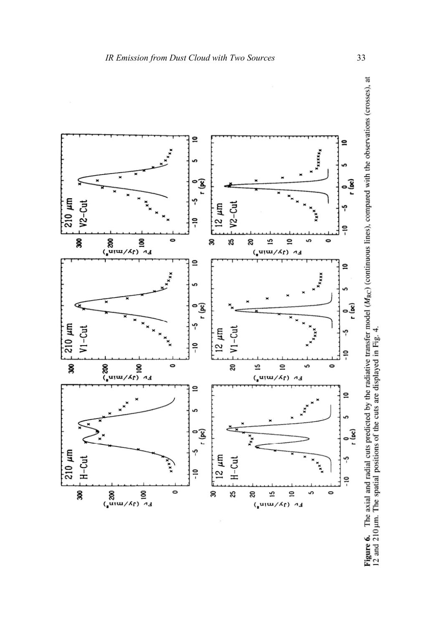

**Figure 6.** The axial and radial cuts predicted by the radiative transfer model  $(M_{RC})$  (continuous lines), compared with the observations (crosses), at 12 and 210 µm. The spatial positions of the cuts are displayed in Fig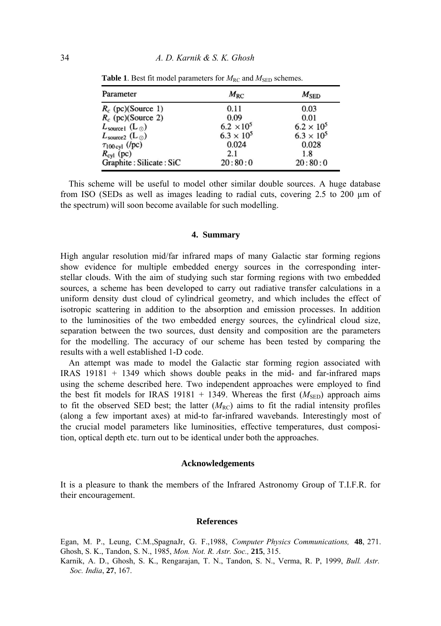| Parameter                              | $M_{RC}$            | $M_{\rm SED}$       |
|----------------------------------------|---------------------|---------------------|
| $R_c$ (pc)(Source 1)                   | 0.11                | 0.03                |
| $R_c$ (pc)(Source 2)                   | 0.09                | 0.01                |
| $L_{\text{source1}}$ (L <sub>o</sub> ) | $6.2 \times 10^{5}$ | $6.2 \times 10^{5}$ |
| $L_{\text{source2}}$ (L <sub>o</sub> ) | $6.3 \times 10^{5}$ | $6.3 \times 10^{5}$ |
| $\tau_{100 \text{ cyl}}$ (/pc)         | 0.024               | 0.028               |
| $R_{\text{cyl}}$ (pc)                  | 2.1                 | 1.8                 |
| Graphite: Silicate: SiC                | 20:80:0             | 20:80:0             |

**Table 1**. Best fit model parameters for  $M_{\text{RC}}$  and  $M_{\text{SED}}$  schemes.

This scheme will be useful to model other similar double sources. A huge database from ISO (SEDs as well as images leading to radial cuts, covering 2.5 to 200  $\mu$ m of the spectrum) will soon become available for such modelling.

#### **4. Summary**

High angular resolution mid/far infrared maps of many Galactic star forming regions show evidence for multiple embedded energy sources in the corresponding interstellar clouds. With the aim of studying such star forming regions with two embedded sources, a scheme has been developed to carry out radiative transfer calculations in a uniform density dust cloud of cylindrical geometry, and which includes the effect of isotropic scattering in addition to the absorption and emission processes. In addition to the luminosities of the two embedded energy sources, the cylindrical cloud size, separation between the two sources, dust density and composition are the parameters for the modelling. The accuracy of our scheme has been tested by comparing the results with a well established 1-D code.

An attempt was made to model the Galactic star forming region associated with IRAS 19181 + 1349 which shows double peaks in the mid- and far-infrared maps using the scheme described here. Two independent approaches were employed to find the best fit models for IRAS 19181 + 1349. Whereas the first  $(M<sub>SED</sub>)$  approach aims to fit the observed SED best; the latter  $(M_{\text{RC}})$  aims to fit the radial intensity profiles (along a few important axes) at mid-to far-infrared wavebands. Interestingly most of the crucial model parameters like luminosities, effective temperatures, dust composition, optical depth etc. turn out to be identical under both the approaches.

#### **Acknowledgements**

It is a pleasure to thank the members of the Infrared Astronomy Group of T.I.F.R. for their encouragement.

## **References**

Egan, M. P., Leung, C.M.,SpagnaJr, G. F.,1988, *Computer Physics Communications,* **48**, 271. Ghosh, S. K., Tandon, S. N., 1985, *Mon. Not. R. Astr. Soc.,* **215**, 315.

Karnik, A. D., Ghosh, S. K., Rengarajan, T. N., Tandon, S. N., Verma, R. P, 1999, *Bull. Astr. Soc. India*, **27**, 167.